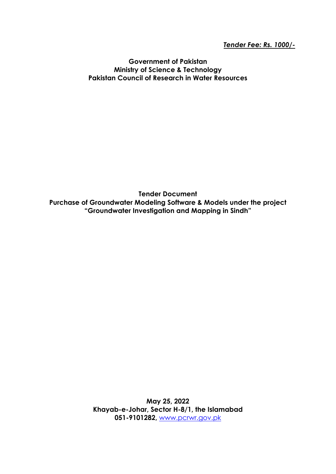*Tender Fee: Rs. 1000/-*

**Government of Pakistan Ministry of Science & Technology Pakistan Council of Research in Water Resources**

**Tender Document Purchase of Groundwater Modeling Software & Models under the project "Groundwater Investigation and Mapping in Sindh"**

> **May 25, 2022 Khayab-e-Johar, Sector H-8/1, the Islamabad 051-9101282,** [www.pcrwr.gov.pk](http://www.pcrwr.gov.pk/)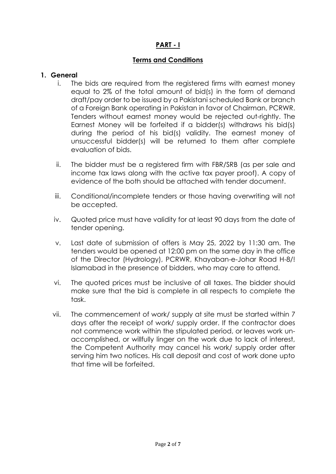## **PART - I**

### **Terms and Conditions**

#### **1. General**

- i. The bids are required from the registered firms with earnest money equal to 2% of the total amount of bid(s) in the form of demand draft/pay order to be issued by a Pakistani scheduled Bank or branch of a Foreign Bank operating in Pakistan in favor of Chairman, PCRWR. Tenders without earnest money would be rejected out-rightly. The Earnest Money will be forfeited if a bidder(s) withdraws his bid(s) during the period of his bid(s) validity. The earnest money of unsuccessful bidder(s) will be returned to them after complete evaluation of bids.
- ii. The bidder must be a registered firm with FBR/SRB (as per sale and income tax laws along with the active tax payer proof). A copy of evidence of the both should be attached with tender document.
- iii. Conditional/incomplete tenders or those having overwriting will not be accepted.
- iv. Quoted price must have validity for at least 90 days from the date of tender opening.
- v. Last date of submission of offers is May 25, 2022 by 11:30 am. The tenders would be opened at 12:00 pm on the same day in the office of the Director (Hydrology), PCRWR, Khayaban-e-Johar Road H-8/! Islamabad in the presence of bidders, who may care to attend.
- vi. The quoted prices must be inclusive of all taxes. The bidder should make sure that the bid is complete in all respects to complete the task.
- vii. The commencement of work/ supply at site must be started within 7 days after the receipt of work/ supply order. If the contractor does not commence work within the stipulated period, or leaves work unaccomplished, or willfully linger on the work due to lack of interest, the Competent Authority may cancel his work/ supply order after serving him two notices. His call deposit and cost of work done upto that time will be forfeited.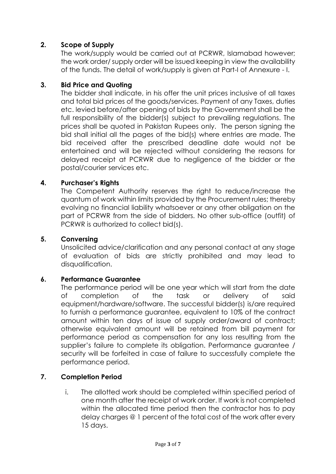### **2. Scope of Supply**

The work/supply would be carried out at PCRWR, Islamabad however; the work order/ supply order will be issued keeping in view the availability of the funds. The detail of work/supply is given at Part-I of Annexure - I.

### **3. Bid Price and Quoting**

The bidder shall indicate, in his offer the unit prices inclusive of all taxes and total bid prices of the goods/services. Payment of any Taxes, duties etc. levied before/after opening of bids by the Government shall be the full responsibility of the bidder(s) subject to prevailing regulations. The prices shall be quoted in Pakistan Rupees only. The person signing the bid shall initial all the pages of the bid(s) where entries are made. The bid received after the prescribed deadline date would not be entertained and will be rejected without considering the reasons for delayed receipt at PCRWR due to negligence of the bidder or the postal/courier services etc.

### **4. Purchaser's Rights**

The Competent Authority reserves the right to reduce/increase the quantum of work within limits provided by the Procurement rules; thereby evolving no financial liability whatsoever or any other obligation on the part of PCRWR from the side of bidders. No other sub-office (outfit) of PCRWR is authorized to collect bid(s).

### **5. Conversing**

Unsolicited advice/clarification and any personal contact at any stage of evaluation of bids are strictly prohibited and may lead to disqualification.

### **6. Performance Guarantee**

The performance period will be one year which will start from the date of completion of the task or delivery of said equipment/hardware/software. The successful bidder(s) is/are required to furnish a performance guarantee, equivalent to 10% of the contract amount within ten days of issue of supply order/award of contract; otherwise equivalent amount will be retained from bill payment for performance period as compensation for any loss resulting from the supplier's failure to complete its obligation. Performance guarantee / security will be forfeited in case of failure to successfully complete the performance period.

### **7. Completion Period**

i. The allotted work should be completed within specified period of one month after the receipt of work order. If work is not completed within the allocated time period then the contractor has to pay delay charges @ 1 percent of the total cost of the work after every 15 days.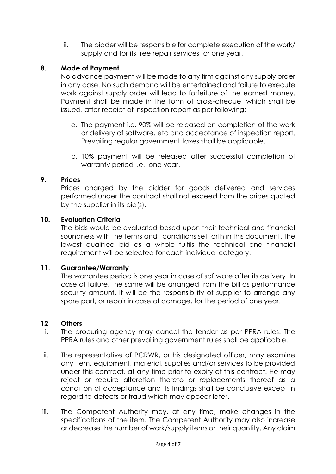ii. The bidder will be responsible for complete execution of the work/ supply and for its free repair services for one year.

## **8. Mode of Payment**

No advance payment will be made to any firm against any supply order in any case. No such demand will be entertained and failure to execute work against supply order will lead to forfeiture of the earnest money. Payment shall be made in the form of cross-cheque, which shall be issued, after receipt of inspection report as per following:

- a. The payment i.e. 90% will be released on completion of the work or delivery of software, etc and acceptance of inspection report. Prevailing regular government taxes shall be applicable.
- b. 10% payment will be released after successful completion of warranty period i.e., one year.

### **9. Prices**

Prices charged by the bidder for goods delivered and services performed under the contract shall not exceed from the prices quoted by the supplier in its bid(s).

### **10. Evaluation Criteria**

The bids would be evaluated based upon their technical and financial soundness with the terms and conditions set forth in this document. The lowest qualified bid as a whole fulfils the technical and financial requirement will be selected for each individual category.

### **11. Guarantee/Warranty**

The warrantee period is one year in case of software after its delivery. In case of failure, the same will be arranged from the bill as performance security amount. It will be the responsibility of supplier to arrange any spare part, or repair in case of damage, for the period of one year.

### **12 Others**

- i. The procuring agency may cancel the tender as per PPRA rules. The PPRA rules and other prevailing government rules shall be applicable.
- ii. The representative of PCRWR, or his designated officer, may examine any item, equipment, material, supplies and/or services to be provided under this contract, at any time prior to expiry of this contract. He may reject or require alteration thereto or replacements thereof as a condition of acceptance and its findings shall be conclusive except in regard to defects or fraud which may appear later.
- iii. The Competent Authority may, at any time, make changes in the specifications of the item. The Competent Authority may also increase or decrease the number of work/supply items or their quantity. Any claim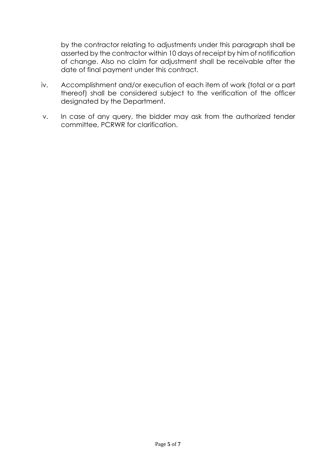by the contractor relating to adjustments under this paragraph shall be asserted by the contractor within 10 days of receipt by him of notification of change. Also no claim for adjustment shall be receivable after the date of final payment under this contract.

- iv. Accomplishment and/or execution of each item of work (total or a part thereof) shall be considered subject to the verification of the officer designated by the Department.
- v. In case of any query, the bidder may ask from the authorized tender committee, PCRWR for clarification.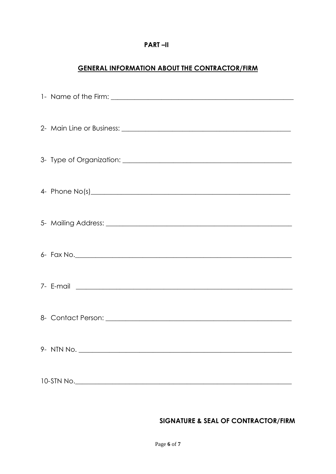#### **PART-II**

## **GENERAL INFORMATION ABOUT THE CONTRACTOR/FIRM**

### SIGNATURE & SEAL OF CONTRACTOR/FIRM